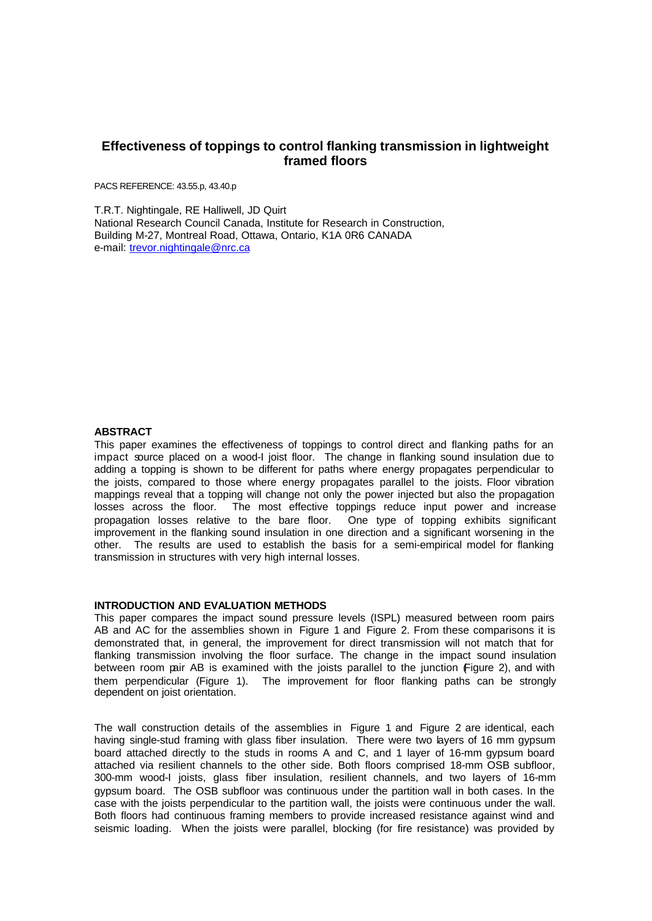# **Effectiveness of toppings to control flanking transmission in lightweight framed floors**

PACS REFERENCE: 43.55.p, 43.40.p

T.R.T. Nightingale, RE Halliwell, JD Quirt National Research Council Canada, Institute for Research in Construction, Building M-27, Montreal Road, Ottawa, Ontario, K1A 0R6 CANADA e-mail: trevor.nightingale@nrc.ca

### **ABSTRACT**

This paper examines the effectiveness of toppings to control direct and flanking paths for an impact source placed on a wood-I joist floor. The change in flanking sound insulation due to adding a topping is shown to be different for paths where energy propagates perpendicular to the joists, compared to those where energy propagates parallel to the joists. Floor vibration mappings reveal that a topping will change not only the power injected but also the propagation losses across the floor. The most effective toppings reduce input power and increase propagation losses relative to the bare floor. One type of topping exhibits significant improvement in the flanking sound insulation in one direction and a significant worsening in the other. The results are used to establish the basis for a semi-empirical model for flanking transmission in structures with very high internal losses.

# **INTRODUCTION AND EVALUATION METHODS**

This paper compares the impact sound pressure levels (ISPL) measured between room pairs AB and AC for the assemblies shown in Figure 1 and Figure 2. From these comparisons it is demonstrated that, in general, the improvement for direct transmission will not match that for flanking transmission involving the floor surface. The change in the impact sound insulation between room pair AB is examined with the joists parallel to the junction Figure 2), and with them perpendicular (Figure 1). The improvement for floor flanking paths can be strongly dependent on joist orientation.

The wall construction details of the assemblies in Figure 1 and Figure 2 are identical, each having single-stud framing with glass fiber insulation. There were two layers of 16 mm gypsum board attached directly to the studs in rooms A and C, and 1 layer of 16-mm gypsum board attached via resilient channels to the other side. Both floors comprised 18-mm OSB subfloor, 300-mm wood-I joists, glass fiber insulation, resilient channels, and two layers of 16-mm gypsum board. The OSB subfloor was continuous under the partition wall in both cases. In the case with the joists perpendicular to the partition wall, the joists were continuous under the wall. Both floors had continuous framing members to provide increased resistance against wind and seismic loading. When the joists were parallel, blocking (for fire resistance) was provided by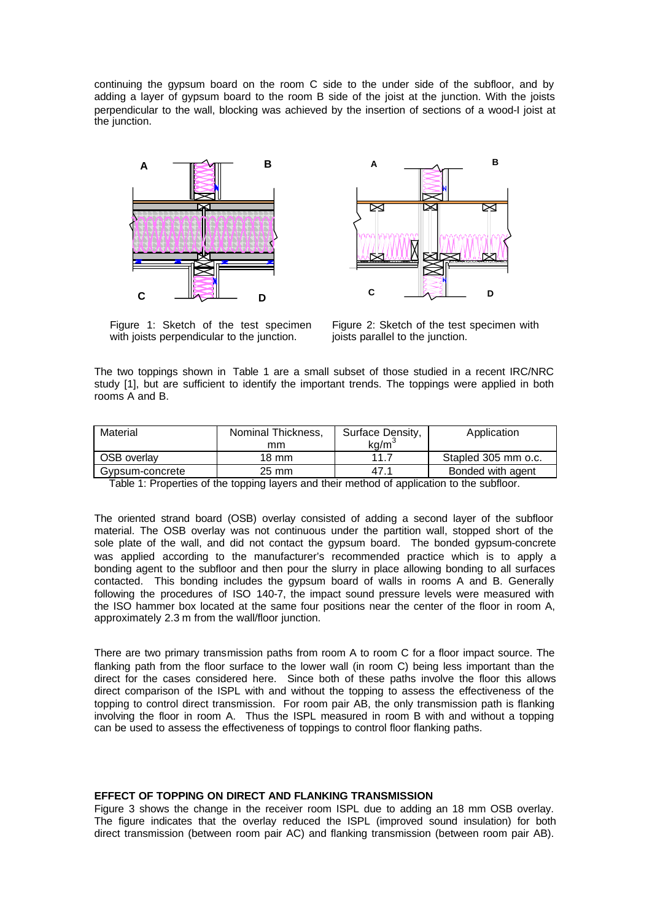continuing the gypsum board on the room C side to the under side of the subfloor, and by adding a layer of gypsum board to the room B side of the joist at the junction. With the joists perpendicular to the wall, blocking was achieved by the insertion of sections of a wood-I joist at the junction.





Figure 1: Sketch of the test specimen with joists perpendicular to the junction.

Figure 2: Sketch of the test specimen with joists parallel to the junction.

The two toppings shown in Table 1 are a small subset of those studied in a recent IRC/NRC study [1], but are sufficient to identify the important trends. The toppings were applied in both rooms A and B.

| Material           | Nominal Thickness. | Surface Density, | Application         |
|--------------------|--------------------|------------------|---------------------|
|                    | mm                 | ka/m`            |                     |
| <b>OSB</b> overlay | 18 mm              | 11 7             | Stapled 305 mm o.c. |
| Gypsum-concrete    | 25 mm              | 47.1             | Bonded with agent   |

Table 1: Properties of the topping layers and their method of application to the subfloor.

The oriented strand board (OSB) overlay consisted of adding a second layer of the subfloor material. The OSB overlay was not continuous under the partition wall, stopped short of the sole plate of the wall, and did not contact the gypsum board. The bonded gypsum-concrete was applied according to the manufacturer's recommended practice which is to apply a bonding agent to the subfloor and then pour the slurry in place allowing bonding to all surfaces contacted. This bonding includes the gypsum board of walls in rooms A and B. Generally following the procedures of ISO 140-7, the impact sound pressure levels were measured with the ISO hammer box located at the same four positions near the center of the floor in room A, approximately 2.3 m from the wall/floor junction.

There are two primary transmission paths from room A to room C for a floor impact source. The flanking path from the floor surface to the lower wall (in room C) being less important than the direct for the cases considered here. Since both of these paths involve the floor this allows direct comparison of the ISPL with and without the topping to assess the effectiveness of the topping to control direct transmission. For room pair AB, the only transmission path is flanking involving the floor in room A. Thus the ISPL measured in room B with and without a topping can be used to assess the effectiveness of toppings to control floor flanking paths.

### **EFFECT OF TOPPING ON DIRECT AND FLANKING TRANSMISSION**

Figure 3 shows the change in the receiver room ISPL due to adding an 18 mm OSB overlay. The figure indicates that the overlay reduced the ISPL (improved sound insulation) for both direct transmission (between room pair AC) and flanking transmission (between room pair AB).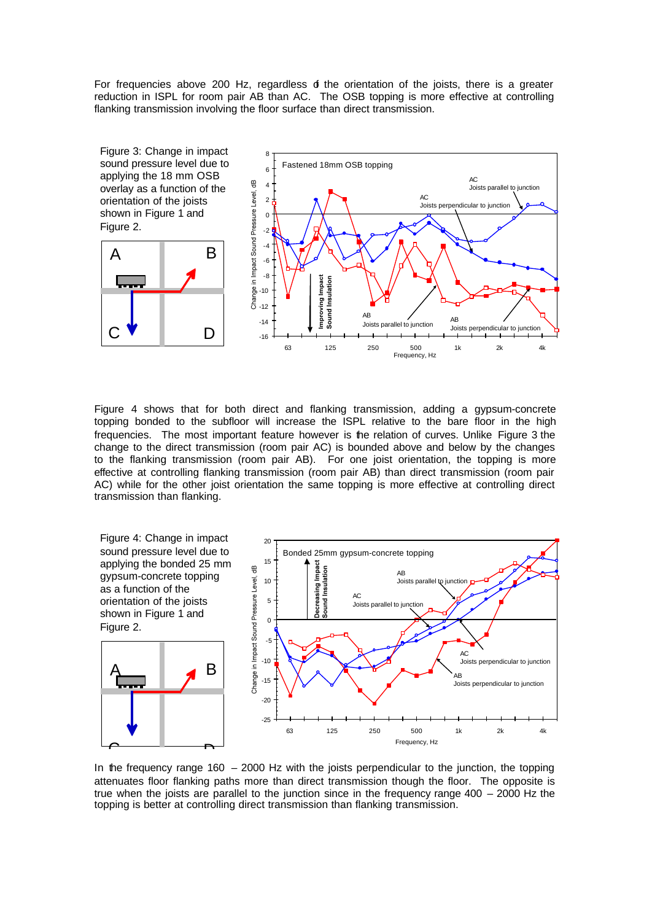For frequencies above 200 Hz, regardless  $\phi$  the orientation of the joists, there is a greater reduction in ISPL for room pair AB than AC. The OSB topping is more effective at controlling flanking transmission involving the floor surface than direct transmission.



Figure 4 shows that for both direct and flanking transmission, adding a gypsum-concrete topping bonded to the subfloor will increase the ISPL relative to the bare floor in the high frequencies. The most important feature however is the relation of curves. Unlike Figure 3 the change to the direct transmission (room pair AC) is bounded above and below by the changes to the flanking transmission (room pair AB). For one joist orientation, the topping is more effective at controlling flanking transmission (room pair AB) than direct transmission (room pair AC) while for the other joist orientation the same topping is more effective at controlling direct transmission than flanking.



In the frequency range  $160 - 2000$  Hz with the joists perpendicular to the junction, the topping attenuates floor flanking paths more than direct transmission though the floor. The opposite is true when the joists are parallel to the junction since in the frequency range 400 – 2000 Hz the topping is better at controlling direct transmission than flanking transmission.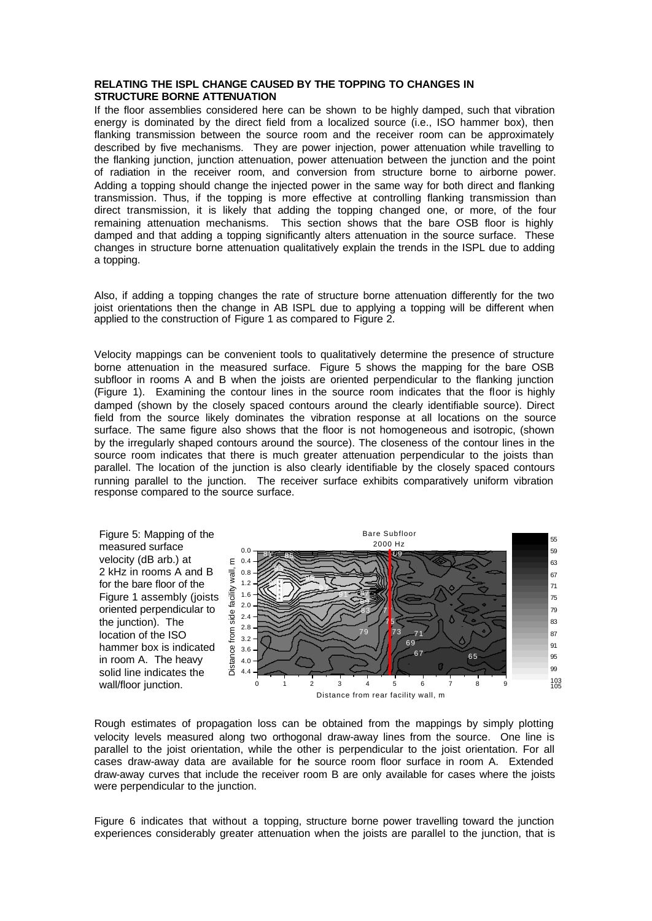# **RELATING THE ISPL CHANGE CAUSED BY THE TOPPING TO CHANGES IN STRUCTURE BORNE ATTENUATION**

If the floor assemblies considered here can be shown to be highly damped, such that vibration energy is dominated by the direct field from a localized source (i.e., ISO hammer box), then flanking transmission between the source room and the receiver room can be approximately described by five mechanisms. They are power injection, power attenuation while travelling to the flanking junction, junction attenuation, power attenuation between the junction and the point of radiation in the receiver room, and conversion from structure borne to airborne power. Adding a topping should change the injected power in the same way for both direct and flanking transmission. Thus, if the topping is more effective at controlling flanking transmission than direct transmission, it is likely that adding the topping changed one, or more, of the four remaining attenuation mechanisms. This section shows that the bare OSB floor is highly damped and that adding a topping significantly alters attenuation in the source surface. These changes in structure borne attenuation qualitatively explain the trends in the ISPL due to adding a topping.

Also, if adding a topping changes the rate of structure borne attenuation differently for the two joist orientations then the change in AB ISPL due to applying a topping will be different when applied to the construction of Figure 1 as compared to Figure 2.

Velocity mappings can be convenient tools to qualitatively determine the presence of structure borne attenuation in the measured surface. Figure 5 shows the mapping for the bare OSB subfloor in rooms A and B when the joists are oriented perpendicular to the flanking junction (Figure 1). Examining the contour lines in the source room indicates that the floor is highly damped (shown by the closely spaced contours around the clearly identifiable source). Direct field from the source likely dominates the vibration response at all locations on the source surface. The same figure also shows that the floor is not homogeneous and isotropic, (shown by the irregularly shaped contours around the source). The closeness of the contour lines in the source room indicates that there is much greater attenuation perpendicular to the joists than parallel. The location of the junction is also clearly identifiable by the closely spaced contours running parallel to the junction. The receiver surface exhibits comparatively uniform vibration response compared to the source surface.



Rough estimates of propagation loss can be obtained from the mappings by simply plotting velocity levels measured along two orthogonal draw-away lines from the source. One line is parallel to the joist orientation, while the other is perpendicular to the joist orientation. For all cases draw-away data are available for the source room floor surface in room A. Extended draw-away curves that include the receiver room B are only available for cases where the joists were perpendicular to the junction.

Figure 6 indicates that without a topping, structure borne power travelling toward the junction experiences considerably greater attenuation when the joists are parallel to the junction, that is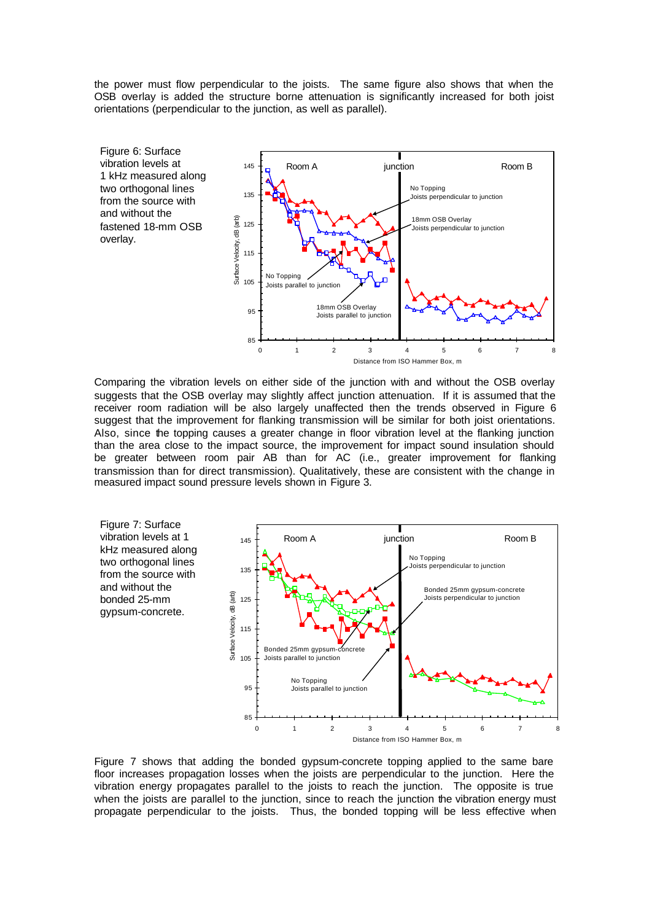the power must flow perpendicular to the joists. The same figure also shows that when the OSB overlay is added the structure borne attenuation is significantly increased for both joist orientations (perpendicular to the junction, as well as parallel).



Comparing the vibration levels on either side of the junction with and without the OSB overlay suggests that the OSB overlay may slightly affect junction attenuation. If it is assumed that the receiver room radiation will be also largely unaffected then the trends observed in Figure 6 suggest that the improvement for flanking transmission will be similar for both joist orientations. Also, since the topping causes a greater change in floor vibration level at the flanking junction than the area close to the impact source, the improvement for impact sound insulation should be greater between room pair AB than for AC (i.e., greater improvement for flanking transmission than for direct transmission). Qualitatively, these are consistent with the change in measured impact sound pressure levels shown in Figure 3.



Figure 7 shows that adding the bonded gypsum-concrete topping applied to the same bare floor increases propagation losses when the joists are perpendicular to the junction. Here the vibration energy propagates parallel to the joists to reach the junction. The opposite is true when the joists are parallel to the junction, since to reach the junction the vibration energy must propagate perpendicular to the joists. Thus, the bonded topping will be less effective when